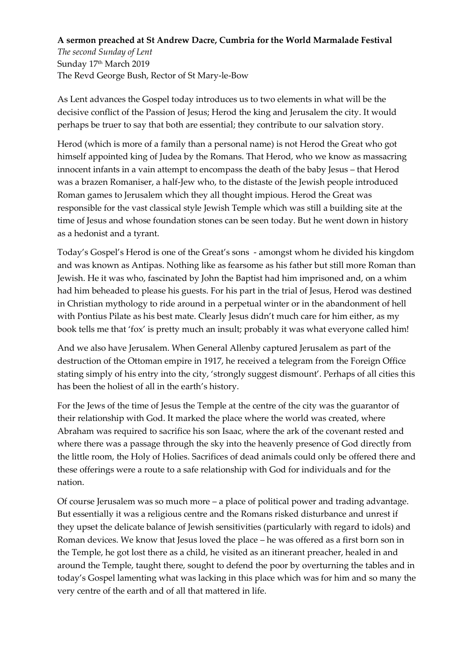## **A sermon preached at St Andrew Dacre, Cumbria for the World Marmalade Festival**

*The second Sunday of Lent* Sunday 17 th March 2019 The Revd George Bush, Rector of St Mary-le-Bow

As Lent advances the Gospel today introduces us to two elements in what will be the decisive conflict of the Passion of Jesus; Herod the king and Jerusalem the city. It would perhaps be truer to say that both are essential; they contribute to our salvation story.

Herod (which is more of a family than a personal name) is not Herod the Great who got himself appointed king of Judea by the Romans. That Herod, who we know as massacring innocent infants in a vain attempt to encompass the death of the baby Jesus – that Herod was a brazen Romaniser, a half-Jew who, to the distaste of the Jewish people introduced Roman games to Jerusalem which they all thought impious. Herod the Great was responsible for the vast classical style Jewish Temple which was still a building site at the time of Jesus and whose foundation stones can be seen today. But he went down in history as a hedonist and a tyrant.

Today's Gospel's Herod is one of the Great's sons - amongst whom he divided his kingdom and was known as Antipas. Nothing like as fearsome as his father but still more Roman than Jewish. He it was who, fascinated by John the Baptist had him imprisoned and, on a whim had him beheaded to please his guests. For his part in the trial of Jesus, Herod was destined in Christian mythology to ride around in a perpetual winter or in the abandonment of hell with Pontius Pilate as his best mate. Clearly Jesus didn't much care for him either, as my book tells me that 'fox' is pretty much an insult; probably it was what everyone called him!

And we also have Jerusalem. When General Allenby captured Jerusalem as part of the destruction of the Ottoman empire in 1917, he received a telegram from the Foreign Office stating simply of his entry into the city, 'strongly suggest dismount'. Perhaps of all cities this has been the holiest of all in the earth's history.

For the Jews of the time of Jesus the Temple at the centre of the city was the guarantor of their relationship with God. It marked the place where the world was created, where Abraham was required to sacrifice his son Isaac, where the ark of the covenant rested and where there was a passage through the sky into the heavenly presence of God directly from the little room, the Holy of Holies. Sacrifices of dead animals could only be offered there and these offerings were a route to a safe relationship with God for individuals and for the nation.

Of course Jerusalem was so much more – a place of political power and trading advantage. But essentially it was a religious centre and the Romans risked disturbance and unrest if they upset the delicate balance of Jewish sensitivities (particularly with regard to idols) and Roman devices. We know that Jesus loved the place – he was offered as a first born son in the Temple, he got lost there as a child, he visited as an itinerant preacher, healed in and around the Temple, taught there, sought to defend the poor by overturning the tables and in today's Gospel lamenting what was lacking in this place which was for him and so many the very centre of the earth and of all that mattered in life.